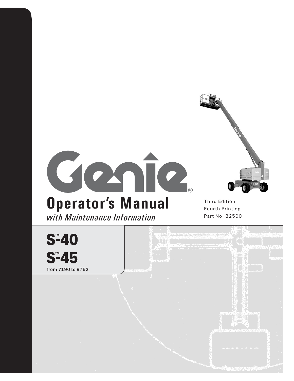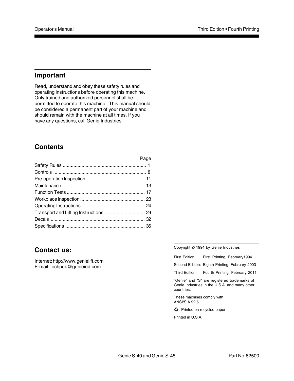### **Important**

Read, understand and obey these safety rules and operating instructions before operating this machine. Only trained and authorized personnel shall be permitted to operate this machine. This manual should be considered a permanent part of your machine and should remain with the machine at all times. If you have any questions, call Genie Industries.

## **Contents**

| Page |
|------|
|      |
|      |
|      |
|      |
|      |
|      |
|      |
|      |
|      |
|      |

## **Contact us:**

Internet: http://www.genielift.com E-mail: techpub@genieind.com

Copyright © 1994 by Genie Industries

| First Edition: |  | First Printing, February1994 |
|----------------|--|------------------------------|
|                |  |                              |

Second Edition: Eighth Printing, February 2003

Third Edition: Fourth Printing, February 2011

"Genie" and "S" are registered trademarks of Genie Industries in the U.S.A. and many other countries.

These machines comply with ANSI/SIA 92.5

Printed on recycled paper

Printed in U.S.A.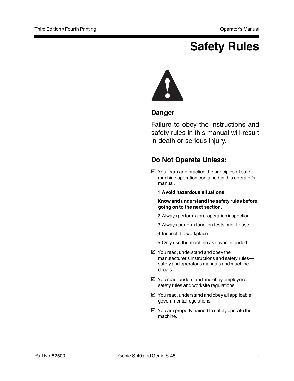## **Safety Rules**



### **Danger**

Failure to obey the instructions and safety rules in this manual will result in death or serious injury.

## **Do Not Operate Unless:**

- $\boxtimes$  You learn and practice the principles of safe machine operation contained in this operator's manual.
	- **1 Avoid hazardous situations.**

**Know and understand the safety rules before going on to the next section.**

- 2 Always perform a pre-operation inspection.
- 3 Always perform function tests prior to use.
- 4 Inspect the workplace.
- 5 Only use the machine as it was intended.
- $\boxtimes$  You read, understand and obey the manufacturer's instructions and safety rules safety and operator's manuals and machine decals
- $\boxtimes$  You read, understand and obey employer's safety rules and worksite regulations
- $\boxtimes$  You read, understand and obey all applicable governmental regulations
- $\boxtimes$  You are properly trained to safely operate the machine.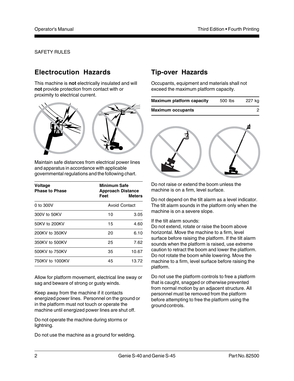## **Electrocution Hazards**

This machine is **not** electrically insulated and will **not** provide protection from contact with or proximity to electrical current.



Maintain safe distances from electrical power lines and apparatus in accordance with applicable governmental regulations and the following chart.

| Voltage<br><b>Phase to Phase</b> | Minimum Safe<br><b>Approach Distance</b><br>Feet<br><b>Meters</b> |                      |
|----------------------------------|-------------------------------------------------------------------|----------------------|
| 0 to 300V                        |                                                                   | <b>Avoid Contact</b> |
| 300V to 50KV                     | 10                                                                | 3.05                 |
| 50KV to 200KV                    | 15                                                                | 4.60                 |
| 200KV to 350KV                   | 20                                                                | 6.10                 |
| 350KV to 500KV                   | 25                                                                | 7.62                 |
| 500KV to 750KV                   | 35                                                                | 10.67                |
| 750KV to 1000KV                  | 45                                                                | 13.72                |

Allow for platform movement, electrical line sway or sag and beware of strong or gusty winds.

Keep away from the machine if it contacts energized power lines. Personnel on the ground or in the platform must not touch or operate the machine until energized power lines are shut off.

Do not operate the machine during storms or lightning.

Do not use the machine as a ground for welding.

## **Tip-over Hazards**

Occupants, equipment and materials shall not exceed the maximum platform capacity.

| <b>Maximum platform capacity</b> | 500 lbs | 227 kg |
|----------------------------------|---------|--------|
| <b>Maximum occupants</b>         |         |        |



Do not raise or extend the boom unless the machine is on a firm, level surface.

Do not depend on the tilt alarm as a level indicator. The tilt alarm sounds in the platform only when the machine is on a severe slope.

#### If the tilt alarm sounds:

Do not extend, rotate or raise the boom above horizontal. Move the machine to a firm, level surface before raising the platform. If the tilt alarm sounds when the platform is raised, use extreme caution to retract the boom and lower the platform. Do not rotate the boom while lowering. Move the machine to a firm, level surface before raising the platform.

Do not use the platform controls to free a platform that is caught, snagged or otherwise prevented from normal motion by an adjacent structure. All personnel must be removed from the platform before attempting to free the platform using the ground controls.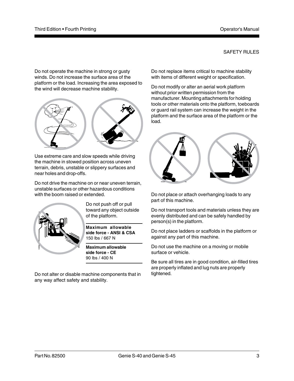Do not operate the machine in strong or gusty winds. Do not increase the surface area of the platform or the load. Increasing the area exposed to the wind will decrease machine stability.



Use extreme care and slow speeds while driving the machine in stowed position across uneven terrain, debris, unstable or slippery surfaces and near holes and drop-offs.

Do not drive the machine on or near uneven terrain, unstable surfaces or other hazardous conditions with the boom raised or extended.



Do not push off or pull toward any object outside of the platform.

**Maximum allowable side force - ANSI & CSA** 150 lbs / 667 N

**Maximum allowable side force - CE** 90 lbs / 400 N

Do not alter or disable machine components that in any way affect safety and stability.

Do not replace items critical to machine stability with items of different weight or specification.

Do not modify or alter an aerial work platform without prior written permission from the manufacturer. Mounting attachments for holding tools or other materials onto the platform, toeboards or guard rail system can increase the weight in the platform and the surface area of the platform or the load.



Do not place or attach overhanging loads to any part of this machine.

Do not transport tools and materials unless they are evenly distributed and can be safely handled by person(s) in the platform.

Do not place ladders or scaffolds in the platform or against any part of this machine.

Do not use the machine on a moving or mobile surface or vehicle.

Be sure all tires are in good condition, air-filled tires are properly inflated and lug nuts are properly tightened.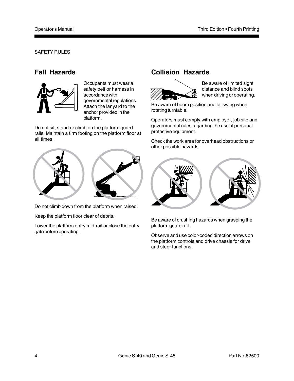### **Fall Hazards**



Occupants must wear a safety belt or harness in accordance with governmental regulations. Attach the lanyard to the anchor provided in the platform.

Do not sit, stand or climb on the platform guard rails. Maintain a firm footing on the platform floor at all times.



Do not climb down from the platform when raised.

Keep the platform floor clear of debris.

Lower the platform entry mid-rail or close the entry gate before operating.

## **Collision Hazards**



Be aware of limited sight distance and blind spots when driving or operating.

Be aware of boom position and tailswing when rotating turntable.

Operators must comply with employer, job site and governmental rules regarding the use of personal protective equipment.

Check the work area for overhead obstructions or other possible hazards.



Be aware of crushing hazards when grasping the platform guard rail.

Observe and use color-coded direction arrows on the platform controls and drive chassis for drive and steer functions.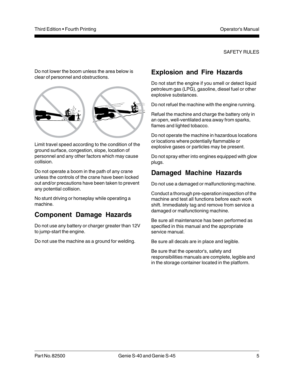Do not lower the boom unless the area below is clear of personnel and obstructions.



Limit travel speed according to the condition of the ground surface, congestion, slope, location of personnel and any other factors which may cause collision.

Do not operate a boom in the path of any crane unless the controls of the crane have been locked out and/or precautions have been taken to prevent any potential collision.

No stunt driving or horseplay while operating a machine.

## **Component Damage Hazards**

Do not use any battery or charger greater than 12V to jump-start the engine.

Do not use the machine as a ground for welding.

## **Explosion and Fire Hazards**

Do not start the engine if you smell or detect liquid petroleum gas (LPG), gasoline, diesel fuel or other explosive substances.

Do not refuel the machine with the engine running.

Refuel the machine and charge the battery only in an open, well-ventilated area away from sparks, flames and lighted tobacco.

Do not operate the machine in hazardous locations or locations where potentially flammable or explosive gases or particles may be present.

Do not spray ether into engines equipped with glow plugs.

## **Damaged Machine Hazards**

Do not use a damaged or malfunctioning machine.

Conduct a thorough pre-operation inspection of the machine and test all functions before each work shift. Immediately tag and remove from service a damaged or malfunctioning machine.

Be sure all maintenance has been performed as specified in this manual and the appropriate service manual.

Be sure all decals are in place and legible.

Be sure that the operator's, safety and responsibilities manuals are complete, legible and in the storage container located in the platform.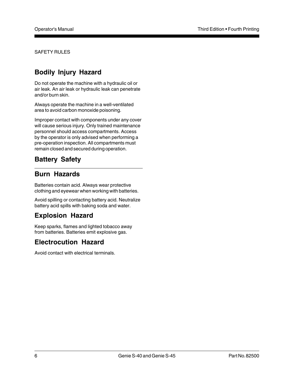## **Bodily Injury Hazard**

Do not operate the machine with a hydraulic oil or air leak. An air leak or hydraulic leak can penetrate and/or burn skin.

Always operate the machine in a well-ventilated area to avoid carbon monoxide poisoning.

Improper contact with components under any cover will cause serious injury. Only trained maintenance personnel should access compartments. Access by the operator is only advised when performing a pre-operation inspection. All compartments must remain closed and secured during operation.

## **Battery Safety**

## **Burn Hazards**

Batteries contain acid. Always wear protective clothing and eyewear when working with batteries.

Avoid spilling or contacting battery acid. Neutralize battery acid spills with baking soda and water.

## **Explosion Hazard**

Keep sparks, flames and lighted tobacco away from batteries. Batteries emit explosive gas.

## **Electrocution Hazard**

Avoid contact with electrical terminals.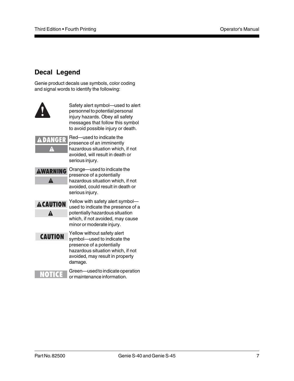## **Decal Legend**

Genie product decals use symbols, color coding and signal words to identify the following:



Safety alert symbol—used to alert personnel to potential personal injury hazards. Obey all safety messages that follow this symbol to avoid possible injury or death.



Red—used to indicate the presence of an imminently hazardous situation which, if not avoided, will result in death or serious injury.

**AWARNING**  $\blacktriangle$ 

Orange—used to indicate the presence of a potentially hazardous situation which, if not avoided, could result in death or serious injury.



Yellow with safety alert symbol used to indicate the presence of a potentially hazardous situation which, if not avoided, may cause minor or moderate injury.

**CAUTION** 

Yellow without safety alert symbol—used to indicate the presence of a potentially hazardous situation which, if not avoided, may result in property damage.

Green—used to indicate operation or maintenance information.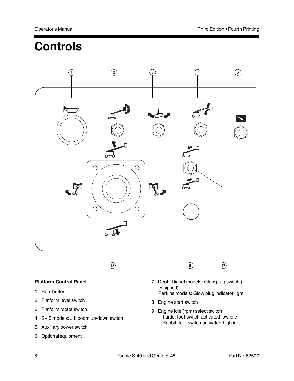## **Controls**



#### **Platform Control Panel**

- 1 Horn button
- 2 Platform level switch
- 3 Platform rotate switch
- 4 S-45 models: Jib boom up/down switch
- 5 Auxiliary power switch
- 6 Optional equipment
- 7 Deutz Diesel models: Glow plug switch (if equipped) Perkins models: Glow plug indicator light
- 8 Engine start switch
- 9 Engine idle (rpm) select switch Turtle: foot switch activated low idle Rabbit: foot switch activated high idle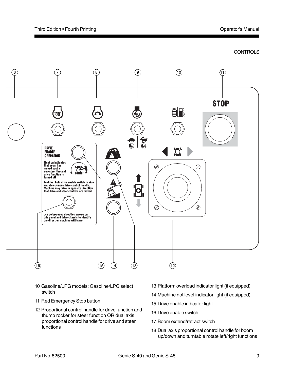



- 10 Gasoline/LPG models: Gasoline/LPG select switch
- 11 Red Emergency Stop button
- 12 Proportional control handle for drive function and thumb rocker for steer function OR dual axis proportional control handle for drive and steer functions
- 13 Platform overload indicator light (if equipped)
- 14 Machine not level indicator light (if equipped)
- 15 Drive enable indicator light
- 16 Drive enable switch
- 17 Boom extend/retract switch
- 18 Dual axis proportional control handle for boom up/down and turntable rotate left/right functions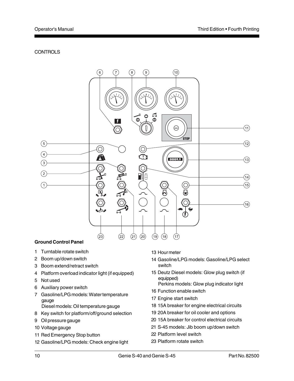#### **CONTROLS**



#### **Ground Control Panel**

- 1 Turntable rotate switch
- 2 Boom up/down switch
- 3 Boom extend/retract switch
- 4 Platform overload indicator light (if equipped)
- 5 Not used
- 6 Auxiliary power switch
- 7 Gasoline/LPG models: Water temperature gauge Diesel models: Oil temperature gauge
- 8 Key switch for platform/off/ground selection
- 9 Oil pressure gauge
- 10 Voltage gauge
- 11 Red Emergency Stop button
- 12 Gasoline/LPG models: Check engine light
- 13 Hour meter
- 14 Gasoline/LPG models: Gasoline/LPG select switch
- 15 Deutz Diesel models: Glow plug switch (if equipped)
	- Perkins models: Glow plug indicator light
- 16 Function enable switch
- 17 Engine start switch
- 18 15A breaker for engine electrical circuits
- 19 20A breaker for oil cooler and options
- 20 15A breaker for control electrical circuits
- 21 S-45 models: Jib boom up/down switch
- 22 Platform level switch
- 23 Platform rotate switch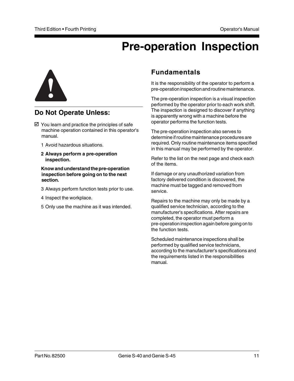## **Pre-operation Inspection**



## **Do Not Operate Unless:**

- $\boxtimes$  You learn and practice the principles of safe machine operation contained in this operator's manual.
	- 1 Avoid hazardous situations.
	- **2 Always perform a pre-operation inspection.**

**Know and understand the pre-operation inspection before going on to the next section.**

- 3 Always perform function tests prior to use.
- 4 Inspect the workplace.
- 5 Only use the machine as it was intended.

### **Fundamentals**

It is the responsibility of the operator to perform a pre-operation inspection and routine maintenance.

The pre-operation inspection is a visual inspection performed by the operator prior to each work shift. The inspection is designed to discover if anything is apparently wrong with a machine before the operator performs the function tests.

The pre-operation inspection also serves to determine if routine maintenance procedures are required. Only routine maintenance items specified in this manual may be performed by the operator.

Refer to the list on the next page and check each of the items.

If damage or any unauthorized variation from factory delivered condition is discovered, the machine must be tagged and removed from service.

Repairs to the machine may only be made by a qualified service technician, according to the manufacturer's specifications. After repairs are completed, the operator must perform a pre-operation inspection again before going on to the function tests.

Scheduled maintenance inspections shall be performed by qualified service technicians, according to the manufacturer's specifications and the requirements listed in the responsibilities manual.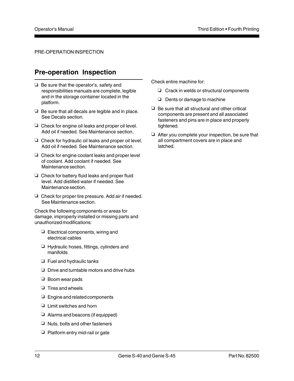#### PRE-OPERATION INSPECTION

## **Pre-operation Inspection**

- $\Box$  Be sure that the operator's, safety and responsibilities manuals are complete, legible and in the storage container located in the platform.
- $\Box$  Be sure that all decals are legible and in place. See Decals section.
- $\Box$  Check for engine oil leaks and proper oil level. Add oil if needed. See Maintenance section.
- $\Box$  Check for hydraulic oil leaks and proper oil level. Add oil if needed. See Maintenance section.
- $\Box$  Check for engine coolant leaks and proper level of coolant. Add coolant if needed. See Maintenance section.
- $\Box$  Check for battery fluid leaks and proper fluid level. Add distilled water if needed. See Maintenance section.
- $\Box$  Check for proper tire pressure. Add air if needed. See Maintenance section.

Check the following components or areas for damage, improperly installed or missing parts and unauthorized modifications:

- $\Box$  Electrical components, wiring and electrical cables
- $\Box$  Hydraulic hoses, fittings, cylinders and manifolds
- $\Box$  Fuel and hydraulic tanks
- $\Box$  Drive and turntable motors and drive hubs
- $\Box$  Boom wear pads
- $\Box$  Tires and wheels
- $\Box$  Engine and related components
- $\Box$  Limit switches and horn
- $\Box$  Alarms and beacons (if equipped)
- $\Box$  Nuts, bolts and other fasteners
- $\Box$  Platform entry mid-rail or gate

Check entire machine for:

- $\Box$  Crack in welds or structural components
- $\Box$  Dents or damage to machine
- $\Box$  Be sure that all structural and other critical components are present and all associated fasteners and pins are in place and properly tightened.
- $\Box$  After you complete your inspection, be sure that all compartment covers are in place and latched.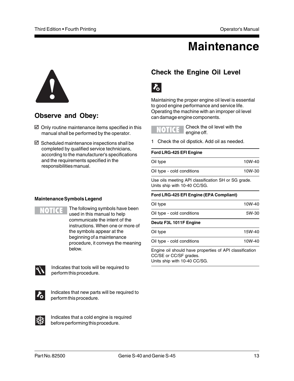## **Maintenance**



## **Observe and Obey:**

- $\boxtimes$  Only routine maintenance items specified in this manual shall be performed by the operator.
- $\boxtimes$  Scheduled maintenance inspections shall be completed by qualified service technicians, according to the manufacturer's specifications and the requirements specified in the responsibilities manual.

#### **Maintenance Symbols Legend**

#### onida

The following symbols have been used in this manual to help communicate the intent of the instructions. When one or more of the symbols appear at the beginning of a maintenance procedure, it conveys the meaning below.



Indicates that tools will be required to perform this procedure.



Indicates that new parts will be required to perform this procedure.



Indicates that a cold engine is required before performing this procedure.

## **Check the Engine Oil Level**



Maintaining the proper engine oil level is essential to good engine performance and service life. Operating the machine with an improper oil level can damage engine components.

DTICE

Check the oil level with the engine off.

1 Check the oil dipstick. Add oil as needed.

#### **Ford LRG-425 EFI Engine**

| Oil type                   | 10W-40 |
|----------------------------|--------|
| Oil type - cold conditions | 10W-30 |

Use oils meeting API classification SH or SG grade. Units ship with 10-40 CC/SG.

#### **Ford LRG-425 EFI Engine (EPA Compliant)**

| Oil type                   | 10W-40 |
|----------------------------|--------|
| Oil type - cold conditions | 5W-30  |
| Deutz F3L 1011F Engine     |        |
| Oil type                   | 15W-40 |
| Oil type - cold conditions | 10W-40 |

Engine oil should have properties of API classification CC/SE or CC/SF grades. Units ship with 10-40 CC/SG.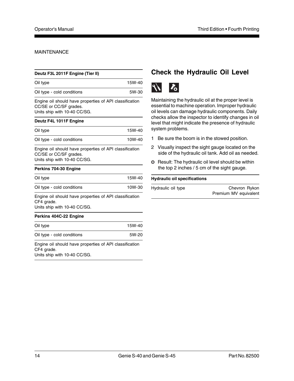#### MAINTENANCE

| Deutz F3L 2011F Engine (Tier II)                                                                                  |        |
|-------------------------------------------------------------------------------------------------------------------|--------|
| Oil type                                                                                                          | 15W-40 |
| Oil type - cold conditions                                                                                        | 5W-30  |
| Engine oil should have properties of API classification<br>CC/SE or CC/SF grades.<br>Units ship with 10-40 CC/SG. |        |
| Deutz F4L 1011F Engine                                                                                            |        |
| Oil type                                                                                                          | 15W-40 |
| Oil type - cold conditions                                                                                        | 10W-40 |
| Engine oil should have properties of API classification<br>CC/SE or CC/SF grades.<br>Units ship with 10-40 CC/SG. |        |
| Perkins 704-30 Engine                                                                                             |        |
| Oil type                                                                                                          | 15W-40 |
| Oil type - cold conditions                                                                                        | 10W-30 |
| Engine oil should have properties of API classification<br>CF4 grade.<br>Units ship with 10-40 CC/SG.             |        |
| Perkins 404C-22 Engine                                                                                            |        |
| Oil type                                                                                                          | 15W-40 |
| Oil type - cold conditions                                                                                        | 5W-20  |
| Engine oil should have properties of API classification<br>CF4 grade.<br>Units ship with 10-40 CC/SG.             |        |

## **Check the Hydraulic Oil Level**



intaining the hydraulic oil at the proper level is sential to machine operation. Improper hydraulic levels can damage hydraulic components. Daily ecks allow the inspector to identify changes in oil el that might indicate the presence of hydraulic stem problems.

- Be sure the boom is in the stowed position.
- Visually inspect the sight gauge located on the side of the hydraulic oil tank. Add oil as needed.
- Result: The hydraulic oil level should be within the top 2 inches / 5 cm of the sight gauge.

#### **Hydraulic oil specifications**

| Hydraulic oil type | Chevron Rykon         |
|--------------------|-----------------------|
|                    | Premium MV equivalent |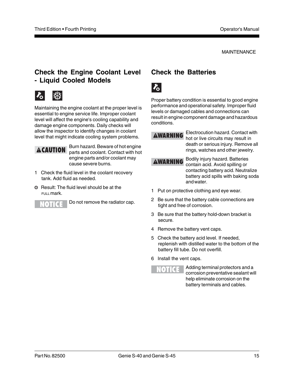MAINTENANCE

## **Check the Engine Coolant Level - Liquid Cooled Models**



Maintaining the engine coolant at the proper level is essential to engine service life. Improper coolant level will affect the engine's cooling capability and damage engine components. Daily checks will allow the inspector to identify changes in coolant level that might indicate cooling system problems.

## **ACAUTION**

Burn hazard. Beware of hot engine parts and coolant. Contact with hot engine parts and/or coolant may cause severe burns.

- 1 Check the fluid level in the coolant recovery tank. Add fluid as needed.
- Result: The fluid level should be at the FULL mark.



Do not remove the radiator cap.

## **Check the Batteries**



Proper battery condition is essential to good engine performance and operational safety. Improper fluid levels or damaged cables and connections can result in engine component damage and hazardous conditions.

Electrocution hazard. Contact with **AWARNING** hot or live circuits may result in death or serious injury. Remove all rings, watches and other jewelry.

Bodily injury hazard. Batteries **AWARNING** contain acid. Avoid spilling or contacting battery acid. Neutralize battery acid spills with baking soda and water.

- 1 Put on protective clothing and eye wear.
- 2 Be sure that the battery cable connections are tight and free of corrosion.
- 3 Be sure that the battery hold-down bracket is secure.
- 4 Remove the battery vent caps.
- 5 Check the battery acid level. If needed, replenish with distilled water to the bottom of the battery fill tube. Do not overfill.
- 6 Install the vent caps.



Adding terminal protectors and a corrosion preventative sealant will help eliminate corrosion on the battery terminals and cables.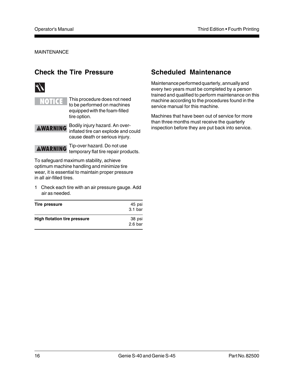#### MAINTENANCE

## **Check the Tire Pressure**



 $\blacksquare$ CI E

This procedure does not need to be performed on machines equipped with the foam-filled tire option.

**AWARNING** 

Bodily injury hazard. An overinflated tire can explode and could cause death or serious injury.

Tip-over hazard. Do not use **AWARNING** temporary flat tire repair products.

To safeguard maximum stability, achieve optimum machine handling and minimize tire wear, it is essential to maintain proper pressure in all air-filled tires.

1 Check each tire with an air pressure gauge. Add air as needed.

| Tire pressure                       | 45 psi<br>3.1 bar |
|-------------------------------------|-------------------|
| <b>High flotation tire pressure</b> | 38 psi<br>2.6 bar |

## **Scheduled Maintenance**

Maintenance performed quarterly, annually and every two years must be completed by a person trained and qualified to perform maintenance on this machine according to the procedures found in the service manual for this machine.

Machines that have been out of service for more than three months must receive the quarterly inspection before they are put back into service.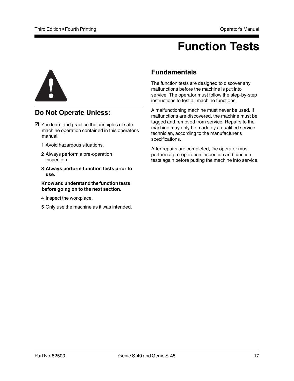## **Function Tests**



## **Do Not Operate Unless:**

- $\boxtimes$  You learn and practice the principles of safe machine operation contained in this operator's manual.
	- 1 Avoid hazardous situations.
	- 2 Always perform a pre-operation inspection.
	- **3 Always perform function tests prior to use.**

#### **Know and understand the function tests before going on to the next section.**

- 4 Inspect the workplace.
- 5 Only use the machine as it was intended.

### **Fundamentals**

The function tests are designed to discover any malfunctions before the machine is put into service. The operator must follow the step-by-step instructions to test all machine functions.

A malfunctioning machine must never be used. If malfunctions are discovered, the machine must be tagged and removed from service. Repairs to the machine may only be made by a qualified service technician, according to the manufacturer's specifications.

After repairs are completed, the operator must perform a pre-operation inspection and function tests again before putting the machine into service.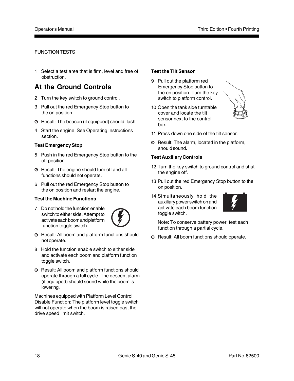1 Select a test area that is firm, level and free of obstruction.

## **At the Ground Controls**

- 2 Turn the key switch to ground control.
- 3 Pull out the red Emergency Stop button to the on position.
- **O** Result: The beacon (if equipped) should flash.
- 4 Start the engine. See Operating Instructions section.

#### **Test Emergency Stop**

- 5 Push in the red Emergency Stop button to the off position.
- **O** Result: The engine should turn off and all functions should not operate.
- 6 Pull out the red Emergency Stop button to the on position and restart the engine.

#### **Test the Machine Functions**

7 Do not hold the function enable switch to either side. Attempt to activate each boom and platform function toggle switch.



- Result: All boom and platform functions should not operate.
- 8 Hold the function enable switch to either side and activate each boom and platform function toggle switch.
- Result: All boom and platform functions should operate through a full cycle. The descent alarm (if equipped) should sound while the boom is lowering.

Machines equipped with Platform Level Control Disable Function: The platform level toggle switch will not operate when the boom is raised past the drive speed limit switch.

#### **Test the Tilt Sensor**

- 9 Pull out the platform red Emergency Stop button to the on position. Turn the key switch to platform control.
- 10 Open the tank side turntable cover and locate the tilt sensor next to the control box.



**O** Result: The alarm, located in the platform, should sound.

#### **Test Auxiliary Controls**

- 12 Turn the key switch to ground control and shut the engine off.
- 13 Pull out the red Emergency Stop button to the on position.
- 14 Simultaneously hold the auxiliary power switch on and activate each boom function toggle switch.



Note: To conserve battery power, test each function through a partial cycle.

**O** Result: All boom functions should operate.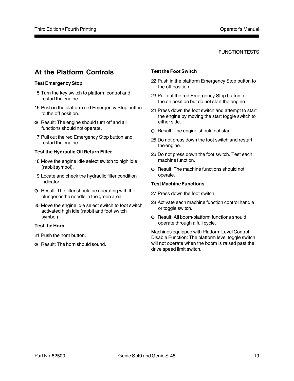## **At the Platform Controls**

#### **Test Emergency Stop**

- 15 Turn the key switch to platform control and restart the engine.
- 16 Push in the platform red Emergency Stop button to the off position.
- **O** Result: The engine should turn off and all functions should not operate.
- 17 Pull out the red Emergency Stop button and restart the engine.

#### **Test the Hydraulic Oil Return Filter**

- 18 Move the engine idle select switch to high idle (rabbit symbol).
- 19 Locate and check the hydraulic filter condition indicator.
- **O** Result: The filter should be operating with the plunger or the needle in the green area.
- 20 Move the engine idle select switch to foot switch activated high idle (rabbit and foot switch symbol).

#### **Test the Horn**

- 21 Push the horn button.
- **O** Result: The horn should sound.

#### **Test the Foot Switch**

- 22 Push in the platform Emergency Stop button to the off position.
- 23 Pull out the red Emergency Stop button to the on position but do not start the engine.
- 24 Press down the foot switch and attempt to start the engine by moving the start toggle switch to either side.
- **O** Result: The engine should not start.
- 25 Do not press down the foot switch and restart the engine.
- 26 Do not press down the foot switch. Test each machine function.
- **O** Result: The machine functions should not operate.

#### **Test Machine Functions**

- 27 Press down the foot switch.
- 28 Activate each machine function control handle or toggle switch.
- **O** Result: All boom/platform functions should operate through a full cycle.

Machines equipped with Platform Level Control Disable Function: The platform level toggle switch will not operate when the boom is raised past the drive speed limit switch.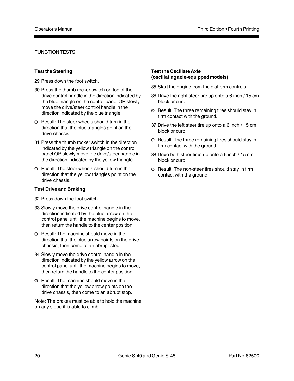#### **Test the Steering**

- 29 Press down the foot switch.
- 30 Press the thumb rocker switch on top of the drive control handle in the direction indicated by the blue triangle on the control panel OR slowly move the drive/steer control handle in the direction indicated by the blue triangle.
- **O** Result: The steer wheels should turn in the direction that the blue triangles point on the drive chassis.
- 31 Press the thumb rocker switch in the direction indicated by the yellow triangle on the control panel OR slowly move the drive/steer handle in the direction indicated by the yellow triangle.
- **O** Result: The steer wheels should turn in the direction that the yellow triangles point on the drive chassis.

#### **Test Drive and Braking**

- 32 Press down the foot switch.
- 33 Slowly move the drive control handle in the direction indicated by the blue arrow on the control panel until the machine begins to move, then return the handle to the center position.
- Result: The machine should move in the direction that the blue arrow points on the drive chassis, then come to an abrupt stop.
- 34 Slowly move the drive control handle in the direction indicated by the yellow arrow on the control panel until the machine begins to move, then return the handle to the center position.
- **O** Result: The machine should move in the direction that the yellow arrow points on the drive chassis, then come to an abrupt stop.

Note: The brakes must be able to hold the machine on any slope it is able to climb.

#### **Test the Oscillate Axle (oscillating axle-equipped models)**

- 35 Start the engine from the platform controls.
- 36 Drive the right steer tire up onto a 6 inch / 15 cm block or curb.
- **O** Result: The three remaining tires should stay in firm contact with the ground.
- 37 Drive the left steer tire up onto a 6 inch / 15 cm block or curb.
- **O** Result: The three remaining tires should stay in firm contact with the ground.
- 38 Drive both steer tires up onto a 6 inch / 15 cm block or curb.
- Result: The non-steer tires should stay in firm contact with the ground.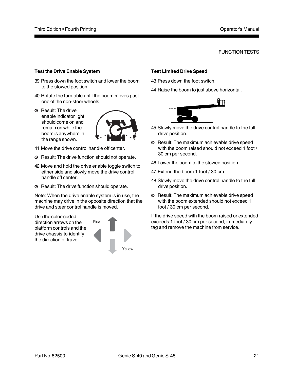#### **Test the Drive Enable System**

- 39 Press down the foot switch and lower the boom to the stowed position.
- 40 Rotate the turntable until the boom moves past one of the non-steer wheels.
- **O** Result: The drive enable indicator light should come on and remain on while the boom is anywhere in the range shown.



- 41 Move the drive control handle off center.
- **O** Result: The drive function should not operate.
- 42 Move and hold the drive enable toggle switch to either side and slowly move the drive control handle off center.
- **Example 2 Section** Should operate.

Note: When the drive enable system is in use, the machine may drive in the opposite direction that the drive and steer control handle is moved.

Use the color-coded direction arrows on the platform controls and the drive chassis to identify the direction of travel.

| Blue |        |
|------|--------|
|      |        |
|      | Yellow |

#### **Test Limited Drive Speed**

- 43 Press down the foot switch.
- 44 Raise the boom to just above horizontal.



- 45 Slowly move the drive control handle to the full drive position.
- **O** Result: The maximum achievable drive speed with the boom raised should not exceed 1 foot / 30 cm per second.
- 46 Lower the boom to the stowed position.
- 47 Extend the boom 1 foot / 30 cm.
- 48 Slowly move the drive control handle to the full drive position.
- **O** Result: The maximum achievable drive speed with the boom extended should not exceed 1 foot / 30 cm per second.

If the drive speed with the boom raised or extended exceeds 1 foot / 30 cm per second, immediately tag and remove the machine from service.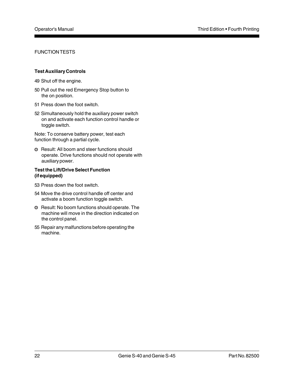#### **Test Auxiliary Controls**

- 49 Shut off the engine.
- 50 Pull out the red Emergency Stop button to the on position.
- 51 Press down the foot switch.
- 52 Simultaneously hold the auxiliary power switch on and activate each function control handle or toggle switch.

Note: To conserve battery power, test each function through a partial cycle.

**O** Result: All boom and steer functions should operate. Drive functions should not operate with auxiliary power.

#### **Test the Lift/Drive Select Function (if equipped)**

- 53 Press down the foot switch.
- 54 Move the drive control handle off center and activate a boom function toggle switch.
- **O** Result: No boom functions should operate. The machine will move in the direction indicated on the control panel.
- 55 Repair any malfunctions before operating the machine.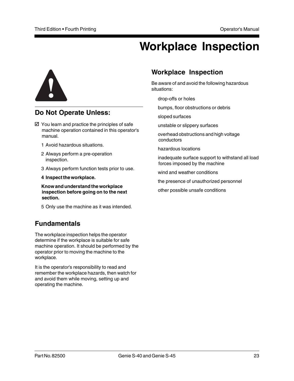## **Workplace Inspection**



## **Do Not Operate Unless:**

- $\boxtimes$  You learn and practice the principles of safe machine operation contained in this operator's manual.
	- 1 Avoid hazardous situations.
	- 2 Always perform a pre-operation inspection.
	- 3 Always perform function tests prior to use.
	- **4 Inspect the workplace.**

**Know and understand the workplace inspection before going on to the next section.**

5 Only use the machine as it was intended.

## **Fundamentals**

The workplace inspection helps the operator determine if the workplace is suitable for safe machine operation. It should be performed by the operator prior to moving the machine to the workplace.

It is the operator's responsibility to read and remember the workplace hazards, then watch for and avoid them while moving, setting up and operating the machine.

## **Workplace Inspection**

Be aware of and avoid the following hazardous situations:

drop-offs or holes

bumps, floor obstructions or debris

sloped surfaces

unstable or slippery surfaces

 overhead obstructions and high voltage conductors

hazardous locations

 inadequate surface support to withstand all load forces imposed by the machine

wind and weather conditions

the presence of unauthorized personnel

other possible unsafe conditions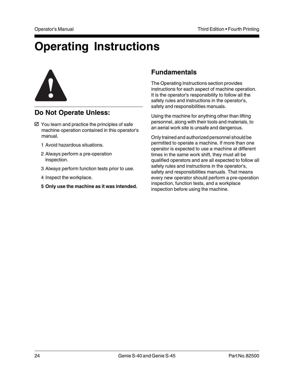## **Operating Instructions**



## **Do Not Operate Unless:**

- $\boxtimes$  You learn and practice the principles of safe machine operation contained in this operator's manual.
	- 1 Avoid hazardous situations.
	- 2 Always perform a pre-operation inspection.
	- 3 Always perform function tests prior to use.
	- 4 Inspect the workplace.
	- **5 Only use the machine as it was intended.**

## **Fundamentals**

The Operating Instructions section provides instructions for each aspect of machine operation. It is the operator's responsibility to follow all the safety rules and instructions in the operator's, safety and responsibilities manuals.

Using the machine for anything other than lifting personnel, along with their tools and materials, to an aerial work site is unsafe and dangerous.

Only trained and authorized personnel should be permitted to operate a machine. If more than one operator is expected to use a machine at different times in the same work shift, they must all be qualified operators and are all expected to follow all safety rules and instructions in the operator's, safety and responsibilities manuals. That means every new operator should perform a pre-operation inspection, function tests, and a workplace inspection before using the machine.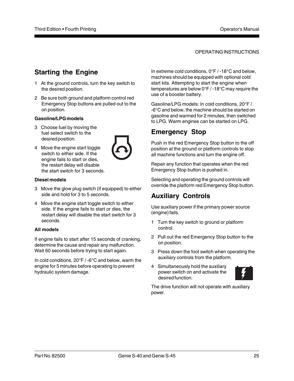## **Starting the Engine**

- 1 At the ground controls, turn the key switch to the desired position.
- 2 Be sure both ground and platform control red Emergency Stop buttons are pulled out to the on position.

#### **Gasoline/LPG models**

- 3 Choose fuel by moving the fuel select switch to the desired position.
- 4 Move the engine start toggle switch to either side. If the engine fails to start or dies, the restart delay will disable the start switch for 3 seconds.



#### **Diesel models**

- 3 Move the glow plug switch (if equipped) to either side and hold for 3 to 5 seconds.
- 4 Move the engine start toggle switch to either side. If the engine fails to start or dies, the restart delay will disable the start switch for 3 seconds.

#### **All models**

If engine fails to start after 15 seconds of cranking, determine the cause and repair any malfunction. Wait 60 seconds before trying to start again.

In cold conditions, 20°F / -6°C and below, warm the engine for 5 minutes before operating to prevent hydraulic system damage.

In extreme cold conditions, 0°F / -18°C and below, machines should be equipped with optional cold start kits. Attempting to start the engine when temperatures are below 0°F / -18°C may require the use of a booster battery.

Gasoline/LPG models: In cold conditions, 20°F / -6°C and below, the machine should be started on gasoline and warmed for 2 minutes, then switched to LPG. Warm engines can be started on LPG.

## **Emergency Stop**

Push in the red Emergency Stop button to the off position at the ground or platform controls to stop all machine functions and turn the engine off.

Repair any function that operates when the red Emergency Stop button is pushed in.

Selecting and operating the ground controls will override the platform red Emergency Stop button.

## **Auxiliary Controls**

Use auxiliary power if the primary power source (engine) fails.

- 1 Turn the key switch to ground or platform control.
- 2 Pull out the red Emergency Stop button to the on position.
- 3 Press down the foot switch when operating the auxiliary controls from the platform.
- 4 Simultaneously hold the auxiliary power switch on and activate the desired function.



The drive function will not operate with auxiliary power.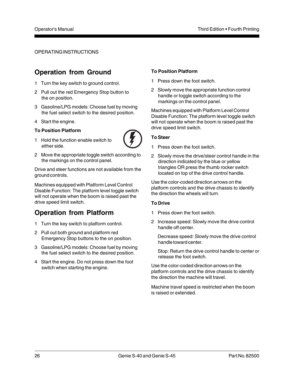## **Operation from Ground**

- 1 Turn the key switch to ground control.
- 2 Pull out the red Emergency Stop button to the on position.
- 3 Gasoline/LPG models: Choose fuel by moving the fuel select switch to the desired position.
- 4 Start the engine.

#### **To Position Platform**

1 Hold the function enable switch to either side.



2 Move the appropriate toggle switch according to the markings on the control panel.

Drive and steer functions are not available from the ground controls.

Machines equipped with Platform Level Control Disable Function: The platform level toggle switch will not operate when the boom is raised past the drive speed limit switch.

## **Operation from Platform**

- 1 Turn the key switch to platform control.
- 2 Pull out both ground and platform red Emergency Stop buttons to the on position.
- 3 Gasoline/LPG models: Choose fuel by moving the fuel select switch to the desired position.
- 4 Start the engine. Do not press down the foot switch when starting the engine.

#### **To Position Platform**

- 1 Press down the foot switch.
- 2 Slowly move the appropriate function control handle or toggle switch according to the markings on the control panel.

Machines equipped with Platform Level Control Disable Function: The platform level toggle switch will not operate when the boom is raised past the drive speed limit switch.

#### **To Steer**

- 1 Press down the foot switch.
- 2 Slowly move the drive/steer control handle in the direction indicated by the blue or yellow triangles OR press the thumb rocker switch located on top of the drive control handle.

Use the color-coded direction arrows on the platform controls and the drive chassis to identify the direction the wheels will turn.

#### **To Drive**

- 1 Press down the foot switch.
- 2 Increase speed: Slowly move the drive control handle off center.

Decrease speed: Slowly move the drive control handle toward center.

Stop: Return the drive control handle to center or release the foot switch.

Use the color-coded direction arrows on the platform controls and the drive chassis to identify the direction the machine will travel.

Machine travel speed is restricted when the boom is raised or extended.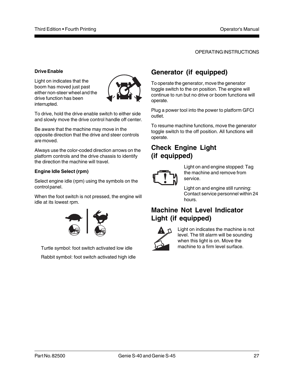#### **Drive Enable**

Light on indicates that the boom has moved just past either non-steer wheel and the drive function has been interrupted.



To drive, hold the drive enable switch to either side and slowly move the drive control handle off center.

Be aware that the machine may move in the opposite direction that the drive and steer controls are moved.

Always use the color-coded direction arrows on the platform controls and the drive chassis to identify the direction the machine will travel.

#### **Engine Idle Select (rpm)**

Select engine idle (rpm) using the symbols on the control panel.

When the foot switch is not pressed, the engine will idle at its lowest rpm.



 Turtle symbol: foot switch activated low idle Rabbit symbol: foot switch activated high idle

## **Generator (if equipped)**

To operate the generator, move the generator toggle switch to the on position. The engine will continue to run but no drive or boom functions will operate.

Plug a power tool into the power to platform GFCI outlet.

To resume machine functions, move the generator toggle switch to the off position. All functions will operate.

### **Check Engine Light (if equipped)**



Light on and engine stopped: Tag the machine and remove from service.

Light on and engine still running: Contact service personnel within 24 hours.

### **Machine Not Level Indicator Light (if equipped)**



Light on indicates the machine is not level. The tilt alarm will be sounding when this light is on. Move the machine to a firm level surface.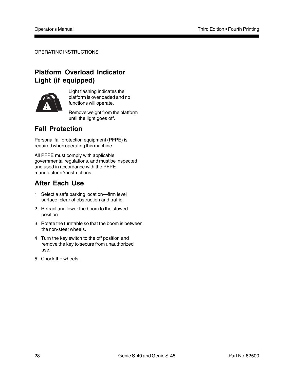## **Platform Overload Indicator Light (if equipped)**



Light flashing indicates the platform is overloaded and no functions will operate.

Remove weight from the platform until the light goes off.

## **Fall Protection**

Personal fall protection equipment (PFPE) is required when operating this machine.

All PFPE must comply with applicable governmental regulations, and must be inspected and used in accordance with the PFPE manufacturer's instructions.

## **After Each Use**

- 1 Select a safe parking location—firm level surface, clear of obstruction and traffic.
- 2 Retract and lower the boom to the stowed position.
- 3 Rotate the turntable so that the boom is between the non-steer wheels.
- 4 Turn the key switch to the off position and remove the key to secure from unauthorized use.
- 5 Chock the wheels.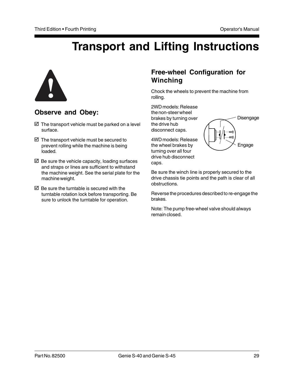## **Transport and Lifting Instructions**



## **Observe and Obey:**

- $\boxtimes$  The transport vehicle must be parked on a level surface.
- $\boxtimes$  The transport vehicle must be secured to prevent rolling while the machine is being loaded.
- $\boxtimes$  Be sure the vehicle capacity, loading surfaces and straps or lines are sufficient to withstand the machine weight. See the serial plate for the machine weight.
- $\boxtimes$  Be sure the turntable is secured with the turntable rotation lock before transporting. Be sure to unlock the turntable for operation.

## **Free-wheel Configuration for Winching**

Chock the wheels to prevent the machine from rolling.

2WD models: Release the non-steer wheel brakes by turning over the drive hub disconnect caps.

4WD models: Release the wheel brakes by turning over all four drive hub disconnect caps.



Be sure the winch line is properly secured to the drive chassis tie points and the path is clear of all obstructions.

Reverse the procedures described to re-engage the brakes.

Note: The pump free-wheel valve should always remain closed.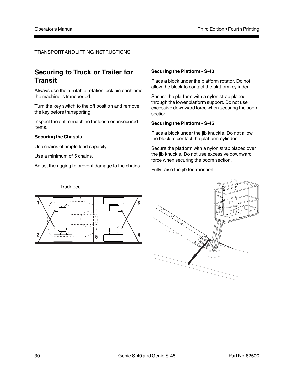#### TRANSPORT AND LIFTING INSTRUCTIONS

## **Securing to Truck or Trailer for Transit**

Always use the turntable rotation lock pin each time the machine is transported.

Turn the key switch to the off position and remove the key before transporting.

Inspect the entire machine for loose or unsecured items.

#### **Securing the Chassis**

Use chains of ample load capacity.

Truck bed

Use a minimum of 5 chains.

Adjust the rigging to prevent damage to the chains.

#### **Securing the Platform - S-40**

Place a block under the platform rotator. Do not allow the block to contact the platform cylinder.

Secure the platform with a nylon strap placed through the lower platform support. Do not use excessive downward force when securing the boom section.

#### **Securing the Platform - S-45**

Place a block under the jib knuckle. Do not allow the block to contact the platform cylinder.

Secure the platform with a nylon strap placed over the jib knuckle. Do not use excessive downward force when securing the boom section.

Fully raise the jib for transport.

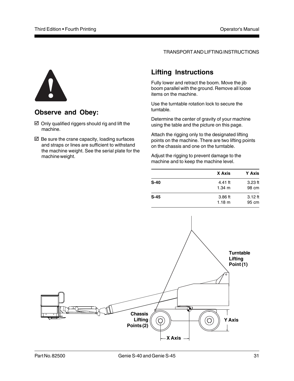TRANSPORT AND LIFTING INSTRUCTIONS



### **Observe and Obey:**

- $\boxtimes$  Only qualified riggers should rig and lift the machine.
- $\boxtimes$  Be sure the crane capacity, loading surfaces and straps or lines are sufficient to withstand the machine weight. See the serial plate for the machine weight.

## **Lifting Instructions**

Fully lower and retract the boom. Move the jib boom parallel with the ground. Remove all loose items on the machine.

Use the turntable rotation lock to secure the turntable.

Determine the center of gravity of your machine using the table and the picture on this page.

Attach the rigging only to the designated lifting points on the machine. There are two lifting points on the chassis and one on the turntable.

Adjust the rigging to prevent damage to the machine and to keep the machine level.

|        | X Axis                   | <b>Y Axis</b>      |
|--------|--------------------------|--------------------|
| $S-40$ | $4.41$ ft<br>$1.34 \; m$ | $3.23$ ft<br>98 cm |
| $S-45$ | 3.86 ft<br>1.18 m        | $3.12$ ft<br>95 cm |

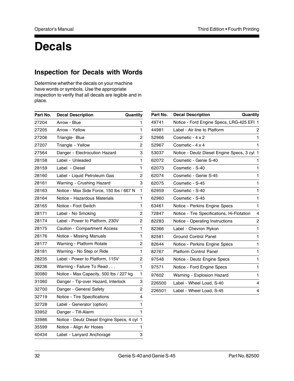## **Decals**

## **Inspection for Decals with Words**

Determine whether the decals on your machine have words or symbols. Use the appropriate inspection to verify that all decals are legible and in place.

| Part No. | <b>Decal Description</b><br>Quantity      |                         |
|----------|-------------------------------------------|-------------------------|
| 27204    | Arrow - Blue                              | 1                       |
| 27205    | Arrow - Yellow                            | 1                       |
| 27206    | Triangle- Blue                            | 2                       |
| 27207    | Triangle - Yellow                         | $\overline{c}$          |
| 27564    | Danger - Electrocution Hazard             | 3                       |
| 28158    | Label - Unleaded                          | $\mathbf{1}$            |
| 28159    | Label - Diesel                            | 1                       |
| 28160    | Label - Liquid Petroleum Gas              | $\overline{\mathbf{c}}$ |
| 28161    | Warning - Crushing Hazard                 | 3                       |
| 28163    | Notice - Max Side Force, 150 lbs / 667 N  | 1                       |
| 28164    | Notice - Hazardous Materials              | 1                       |
| 28165    | Notice - Foot Switch                      | 1                       |
| 28171    | Label - No Smoking                        | 2                       |
| 28174    | Label - Power to Platform, 230V           | 2                       |
| 28175    | Caution - Compartment Access              | 1                       |
| 28176    | Notice - Missing Manuals                  | 1                       |
| 28177    | Warning - Platform Rotate                 | $\overline{\mathbf{c}}$ |
| 28181    | Warning - No Step or Ride                 | $\mathbf{1}$            |
| 28235    | Label - Power to Platform, 115V           | $\overline{c}$          |
| 28236    | Warning - Failure To Read                 | 1                       |
| 30080    | Notice - Max Capacity, 500 lbs / 227 kg   | 1                       |
| 31060    | Danger - Tip-over Hazard, Interlock       | 3                       |
| 32700    | Danger - General Safety                   | $\overline{c}$          |
| 32719    | Notice - Tire Specifications              | 4                       |
| 32728    | Label - Generator (option)                | 1                       |
| 33952    | Danger - Tilt-Alarm                       | 1                       |
| 33986    | Notice - Deutz Diesel Engine Specs, 4 cyl | 1                       |
| 35599    | Notice - Align Air Hoses                  | 1                       |
| 40434    | Label - Lanyard Anchorage                 | 3                       |
|          |                                           |                         |

| Part No. | <b>Decal Description</b><br>Quantity       |   |
|----------|--------------------------------------------|---|
| 49741    | Notice - Ford Engine Specs, LRG-425 EFI 1  |   |
| 44981    | Label - Air line to Platform               | 2 |
| 52966    | Cosmetic - 4 x 2                           | 1 |
| 52967    | Cosmetic $-4 \times 4$                     | 1 |
| 53037    | Notice - Deutz Diesel Engine Specs, 3 cyl  | 1 |
| 62072    | Cosmetic - Genie S-40                      | 1 |
| 62073    | Cosmetic - S-40                            | 1 |
| 62074    | Cosmetic - Genie S-45                      | 1 |
| 62075    | Cosmetic - S-45                            | 1 |
| 62959    | Cosmetic - S-40                            | 1 |
| 62960    | Cosmetic - S-45                            | 1 |
| 63461    | Notice - Perkins Engine Specs              | 1 |
| 72847    | Notice - Tire Specifications, Hi-Flotation | 4 |
| 82283    | Notice - Operating Instructions            | 2 |
| 82366    | Label - Chevron Rykon                      | 1 |
| 82581    | Ground Control Panel                       | 1 |
| 82644    | Notice - Perkins Engine Specs              | 1 |
| 82767    | <b>Platform Control Panel</b>              | 1 |
| 97548    | Notice - Deutz Engine Specs                | 1 |
| 97571    | Notice - Ford Engine Specs                 | 1 |
| 97602    | Warning - Explosion Hazard                 | 1 |
| 226500   | Label - Wheel Load, S-40                   | 4 |
| 226501   | Label - Wheel Load, S-45                   | 4 |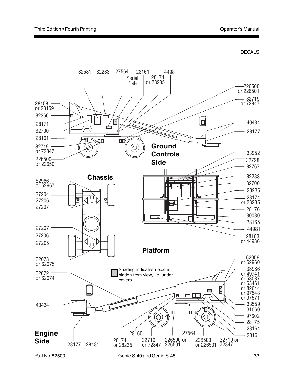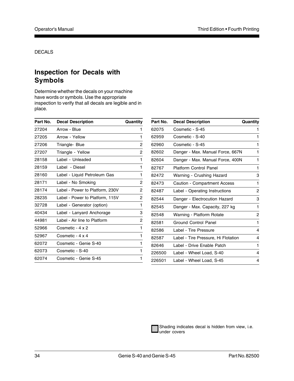#### DECALS

## **Inspection for Decals with Symbols**

Determine whether the decals on your machine have words or symbols. Use the appropriate inspection to verify that all decals are legible and in place.

| Part No. | <b>Decal Description</b>        | Quantity       |
|----------|---------------------------------|----------------|
| 27204    | Arrow - Blue                    | 1              |
| 27205    | Arrow - Yellow                  | 1              |
| 27206    | Triangle- Blue                  | 2              |
| 27207    | Triangle - Yellow               | 2              |
| 28158    | Label - Unleaded                | 1              |
| 28159    | Label - Diesel                  | 1              |
| 28160    | Label - Liquid Petroleum Gas    | 1              |
| 28171    | Label - No Smoking              | 2              |
| 28174    | Label - Power to Platform, 230V | $\overline{2}$ |
| 28235    | Label - Power to Platform, 115V | 2              |
| 32728    | Label - Generator (option)      | 1              |
| 40434    | Label - Lanyard Anchorage       | 3              |
| 44981    | Label - Air line to Platform    | 2              |
| 52966    | Cosmetic - 4 x 2                | 1              |
| 52967    | Cosmetic - 4 x 4                | 1              |
| 62072    | Cosmetic - Genie S-40           | 1              |
| 62073    | Cosmetic - S-40                 | 1              |
| 62074    | Cosmetic - Genie S-45           | 1              |
|          |                                 |                |

| Part No. | <b>Decal Description</b>            | Quantity |
|----------|-------------------------------------|----------|
| 62075    | Cosmetic - S-45                     | 1        |
| 62959    | Cosmetic - S-40                     | 1        |
| 62960    | Cosmetic - S-45                     | 1        |
| 82602    | Danger - Max. Manual Force, 667N    | 1        |
| 82604    | Danger - Max. Manual Force, 400N    | 1        |
| 82767    | <b>Platform Control Panel</b>       | 1        |
| 82472    | Warning - Crushing Hazard           | 3        |
| 82473    | Caution - Compartment Access        | 1        |
| 82487    | Label - Operating Instructions      | 2        |
| 82544    | Danger - Electrocution Hazard       | 3        |
| 82545    | Danger - Max. Capacity, 227 kg      | 1        |
| 82548    | Warning - Platform Rotate           | 2        |
| 82581    | Ground Control Panel                | 1        |
| 82586    | Label - Tire Pressure               | 4        |
| 82587    | Label - Tire Pressure, Hi Flotation | 4        |
| 82646    | Label - Drive Enable Patch          | 1        |
| 226500   | Label - Wheel Load, S-40            | 4        |
| 226501   | Label - Wheel Load, S-45            | 4        |

Shading indicates decal is hidden from view, i.e. Shading ment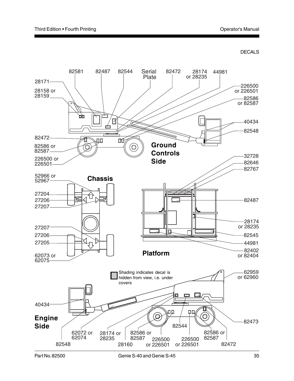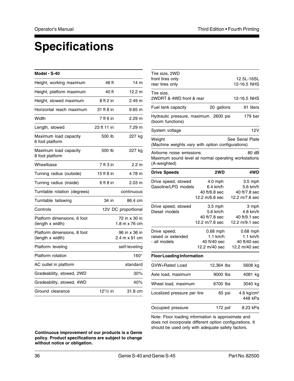## **Specifications**

#### **Model - S-40**

| Height, working maximum                         | 46 ft         | 14 <sub>m</sub>                |
|-------------------------------------------------|---------------|--------------------------------|
| Height, platform maximum                        | 40 ft         | 12.2 m                         |
| Height, stowed maximum                          | 8 ft 2 in     | 2.49 <sub>m</sub>              |
| Horizontal reach maximum                        | 31 ft 8 in    | $9.65 \; m$                    |
| Width                                           | 7 ft 6 in     | 2.29 m                         |
| Length, stowed                                  | 23 ft 11 in   | 7.29 m                         |
| Maximum load capacity<br>6 foot platform        | 500 lb        | 227 kg                         |
| Maximum load capacity<br>8 foot platform        | 500 lb        | 227 kg                         |
| Wheelbase                                       | 7 ft 3 in     | 2.2 m                          |
| Turning radius (outside)                        | 15 ft 8 in    | 4.78 m                         |
| Turning radius (inside)                         | 6 ft 8 in     | 2.03 m                         |
| Turntable rotation (degrees)                    |               | continuous                     |
| Turntable tailswing                             | 34 in         | 86.4 cm                        |
| Controls                                        |               | 12V DC proportional            |
| Platform dimensions, 6 foot<br>(length x width) |               | 72 in x 30 in<br>1.8 m x 76 cm |
| Platform dimensions, 8 foot<br>(length x width) |               | 96 in x 36 in<br>2.4 m x 91 cm |
| Platform leveling                               |               | self-leveling                  |
| Platform rotation                               |               | $160^\circ$                    |
| AC outlet in platform                           |               | standard                       |
| Gradeability, stowed, 2WD                       |               | 30%                            |
| Gradeability, stowed, 4WD                       |               | 40%                            |
| Ground clearance                                | $12^{1/2}$ in | 31.8 cm                        |
|                                                 |               |                                |

| Tire size, 2WD                                              |                |                  |
|-------------------------------------------------------------|----------------|------------------|
| front tires only                                            |                | 12.5L-16SL       |
| rear tires only                                             |                | 12-16.5 NHS      |
| Tire size,                                                  |                |                  |
| 2WDRT & 4WD front & rear                                    |                | 12-16.5 NHS      |
| Fuel tank capacity                                          | 20 gallons     | 91 liters        |
|                                                             |                |                  |
| Hydraulic pressure, maximum<br>(boom functions)             | 2600 psi       | 179 bar          |
| System voltage                                              |                | 12V              |
| Weight<br>(Machine weights vary with option configurations) |                | See Serial Plate |
| Airborne noise emissions                                    |                | 80 dB            |
| Maximum sound level at normal operating workstations        |                |                  |
| (A-weighted)                                                |                |                  |
|                                                             |                |                  |
| <b>Drive Speeds</b>                                         | 2WD            | 4WD              |
| Drive speed, stowed                                         | $4.0$ mph      | $3.5$ mph        |
| Gasoline/LPG models                                         | 6.4 km/h       | 5.6 km/h         |
|                                                             | 40 ft/6.8 sec  | 40 ft/7.8 sec    |
|                                                             | 12.2 m/6.8 sec | 12.2 m/7.8 sec   |
| Drive speed, stowed                                         | $3.5$ mph      | 3 mph            |
| Diesel models                                               | 5.6 km/h       | 4.8 km/h         |
|                                                             | 40 ft/7.8 sec  | 40 ft/9.1 sec    |
|                                                             | 12.2 m/7.8 sec | 12.2 m/9.1 sec   |
| Drive speed,                                                | $0.68$ mph     | $0.68$ mph       |
| raised or extended                                          | $1.1$ km/h     | $1.1$ km/h       |
| - all models                                                | 40 ft/40 sec   | 40 ft/40 sec     |
|                                                             | 12.2 m/40 sec  | 12.2 m/40 sec    |
| <b>Floor Loading Information</b>                            |                |                  |
| GVW+Rated Load                                              | 12,364 lbs     | 5608 kg          |
| Axle load, maximum                                          | 9000 lbs       | 4081 kg          |
| Wheel load, maximum                                         | 6700 lbs       | 3040 kg          |

| Occupied pressure                                                                                                                                                   | $172$ psf | 8.23 kPa |
|---------------------------------------------------------------------------------------------------------------------------------------------------------------------|-----------|----------|
| Note: Floor loading information is approximate and<br>does not incorporate different option configurations. It<br>should be used only with adequate safety factors. |           |          |

Localized pressure per tire 65 psi 4.6 kg/cm<sup>2</sup>

**Continuous improvement of our products is a Genie policy. Product specifications are subject to change without notice or obligation.**

448 kPa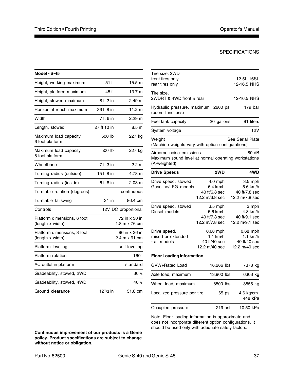#### **SPECIFICATIONS**

| Model - S-45                                    |               |                                |
|-------------------------------------------------|---------------|--------------------------------|
| Height, working maximum                         | 51 ft         | 15.5 m                         |
| Height, platform maximum                        | 45 ft         | 13.7 <sub>m</sub>              |
| Height, stowed maximum                          | 8 ft 2 in     | 2.49 m                         |
| Horizontal reach maximum                        | 36 ft 8 in    | 11.2 m                         |
| Width                                           | 7 ft 6 in     | 2.29 m                         |
| Length, stowed                                  | 27 ft 10 in   | 8.5 <sub>m</sub>               |
| Maximum load capacity<br>6 foot platform        | 500 lb        | 227 kg                         |
| Maximum load capacity<br>8 foot platform        | 500 lb        | 227 kg                         |
| Wheelbase                                       | 7 ft 3 in     | 2.2 m                          |
| Turning radius (outside)                        | 15 ft 8 in    | 4.78 m                         |
| Turning radius (inside)                         | 6 ft 8 in     | $2.03 \text{ m}$               |
| Turntable rotation (degrees)                    |               | continuous                     |
| Turntable tailswing                             | 34 in         | 86.4 cm                        |
| Controls                                        |               | 12V DC proportional            |
| Platform dimensions, 6 foot<br>(length x width) |               | 72 in x 30 in<br>1.8 m x 76 cm |
| Platform dimensions, 8 foot<br>(length x width) |               | 96 in x 36 in<br>2.4 m x 91 cm |
| Platform leveling                               |               | self-leveling                  |
| Platform rotation                               |               | 160°                           |
| AC outlet in platform                           |               | standard                       |
| Gradeability, stowed, 2WD                       |               | 30%                            |
| Gradeability, stowed, 4WD                       |               | 40%                            |
| Ground clearance                                | $12^{1/2}$ in | 31.8 cm                        |

| Tire size, 2WD                                                                                   |                |                  |
|--------------------------------------------------------------------------------------------------|----------------|------------------|
| front tires only                                                                                 |                | 12.5L-16SL       |
| rear tires only                                                                                  |                | 12-16.5 NHS      |
| Tire size,                                                                                       |                |                  |
| 2WDRT & 4WD front & rear                                                                         |                | 12-16.5 NHS      |
| Hydraulic pressure, maximum 2600 psi<br>(boom functions)                                         |                | 179 bar          |
| Fuel tank capacity                                                                               | 20 gallons     | 91 liters        |
| System voltage                                                                                   |                | 12V              |
| Weight                                                                                           |                | See Serial Plate |
| (Machine weights vary with option configurations)                                                |                |                  |
| Airborne noise emissions<br>Maximum sound level at normal operating workstations<br>(A-weighted) |                | 80dB             |
| <b>Drive Speeds</b>                                                                              | 2WD            | 4WD              |
| Drive speed, stowed                                                                              | $4.0$ mph      | $3.5$ mph        |
| Gasoline/LPG models                                                                              | $6.4$ km/h     | $5.6$ km/h       |
|                                                                                                  | 40 ft/6.8 sec  | 40 ft/7.8 sec    |
|                                                                                                  | 12.2 m/6.8 sec | 12.2 m/7.8 sec   |
| Drive speed, stowed                                                                              | $3.5$ mph      | 3 mph            |
| Diesel models                                                                                    | 5.6 km/h       | 4.8 km/h         |
|                                                                                                  | 40 ft/7.8 sec  | 40 ft/9.1 sec    |
|                                                                                                  | 12.2 m/7.8 sec | 12.2 m/9.1 sec   |
| Drive speed,                                                                                     | $0.68$ mph     | $0.68$ mph       |
| raised or extended                                                                               | $1.1$ km/h     | $1.1$ km/h       |
| - all models                                                                                     | 40 ft/40 sec   | 40 ft/40 sec     |
|                                                                                                  | 12.2 m/40 sec  | 12.2 m/40 sec    |
| <b>Floor Loading Information</b>                                                                 |                |                  |
|                                                                                                  |                |                  |

| GVW+Rated Load              | 16,266 lbs | 7378 kg                 |
|-----------------------------|------------|-------------------------|
| Axle load, maximum          | 13,900 lbs | 6303 kg                 |
| Wheel load, maximum         | 8500 lbs   | 3855 kg                 |
| Localized pressure per tire | 65 psi     | 4.6 $kg/cm2$<br>448 kPa |
| Occupied pressure           | $219$ psf  | 10.50 kPa               |

Note: Floor loading information is approximate and does not incorporate different option configurations. It should be used only with adequate safety factors.

**Continuous improvement of our products is a Genie policy. Product specifications are subject to change without notice or obligation.**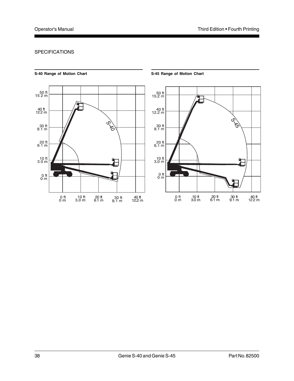#### SPECIFICATIONS



**S-40 Range of Motion Chart S-45 Range of Motion Chart**